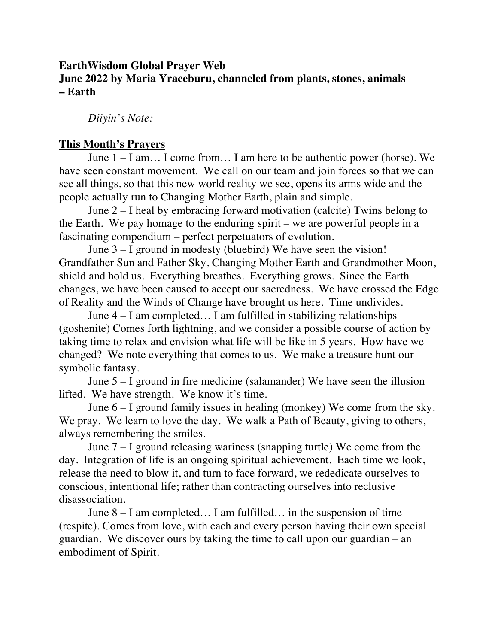## **EarthWisdom Global Prayer Web June 2022 by Maria Yraceburu, channeled from plants, stones, animals – Earth**

*Diiyin's Note:* 

## **This Month's Prayers**

June 1 – I am… I come from… I am here to be authentic power (horse). We have seen constant movement. We call on our team and join forces so that we can see all things, so that this new world reality we see, opens its arms wide and the people actually run to Changing Mother Earth, plain and simple.

June 2 – I heal by embracing forward motivation (calcite) Twins belong to the Earth. We pay homage to the enduring spirit – we are powerful people in a fascinating compendium – perfect perpetuators of evolution.

June 3 – I ground in modesty (bluebird) We have seen the vision! Grandfather Sun and Father Sky, Changing Mother Earth and Grandmother Moon, shield and hold us. Everything breathes. Everything grows. Since the Earth changes, we have been caused to accept our sacredness. We have crossed the Edge of Reality and the Winds of Change have brought us here. Time undivides.

June 4 – I am completed… I am fulfilled in stabilizing relationships (goshenite) Comes forth lightning, and we consider a possible course of action by taking time to relax and envision what life will be like in 5 years. How have we changed? We note everything that comes to us. We make a treasure hunt our symbolic fantasy.

June 5 – I ground in fire medicine (salamander) We have seen the illusion lifted. We have strength. We know it's time.

June  $6 - I$  ground family issues in healing (monkey) We come from the sky. We pray. We learn to love the day. We walk a Path of Beauty, giving to others, always remembering the smiles.

June 7 – I ground releasing wariness (snapping turtle) We come from the day. Integration of life is an ongoing spiritual achievement. Each time we look, release the need to blow it, and turn to face forward, we rededicate ourselves to conscious, intentional life; rather than contracting ourselves into reclusive disassociation.

June 8 – I am completed… I am fulfilled… in the suspension of time (respite). Comes from love, with each and every person having their own special guardian. We discover ours by taking the time to call upon our guardian – an embodiment of Spirit.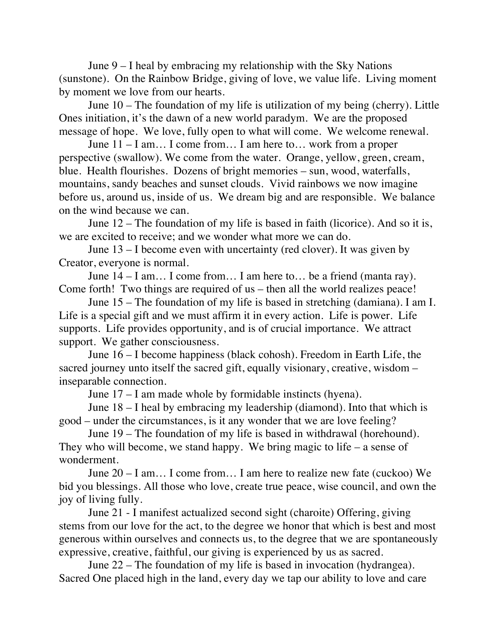June 9 – I heal by embracing my relationship with the Sky Nations (sunstone). On the Rainbow Bridge, giving of love, we value life. Living moment by moment we love from our hearts.

June 10 – The foundation of my life is utilization of my being (cherry). Little Ones initiation, it's the dawn of a new world paradym. We are the proposed message of hope. We love, fully open to what will come. We welcome renewal.

June 11 – I am… I come from… I am here to… work from a proper perspective (swallow). We come from the water. Orange, yellow, green, cream, blue. Health flourishes. Dozens of bright memories – sun, wood, waterfalls, mountains, sandy beaches and sunset clouds. Vivid rainbows we now imagine before us, around us, inside of us. We dream big and are responsible. We balance on the wind because we can.

June 12 – The foundation of my life is based in faith (licorice). And so it is, we are excited to receive; and we wonder what more we can do.

June 13 – I become even with uncertainty (red clover). It was given by Creator, everyone is normal.

June 14 – I am… I come from… I am here to… be a friend (manta ray). Come forth! Two things are required of us – then all the world realizes peace!

June 15 – The foundation of my life is based in stretching (damiana). I am I. Life is a special gift and we must affirm it in every action. Life is power. Life supports. Life provides opportunity, and is of crucial importance. We attract support. We gather consciousness.

June 16 – I become happiness (black cohosh). Freedom in Earth Life, the sacred journey unto itself the sacred gift, equally visionary, creative, wisdom – inseparable connection.

June 17 – I am made whole by formidable instincts (hyena).

June 18 – I heal by embracing my leadership (diamond). Into that which is good – under the circumstances, is it any wonder that we are love feeling?

June 19 – The foundation of my life is based in withdrawal (horehound). They who will become, we stand happy. We bring magic to life – a sense of wonderment.

June 20 – I am… I come from… I am here to realize new fate (cuckoo) We bid you blessings. All those who love, create true peace, wise council, and own the joy of living fully.

June 21 - I manifest actualized second sight (charoite) Offering, giving stems from our love for the act, to the degree we honor that which is best and most generous within ourselves and connects us, to the degree that we are spontaneously expressive, creative, faithful, our giving is experienced by us as sacred.

June 22 – The foundation of my life is based in invocation (hydrangea). Sacred One placed high in the land, every day we tap our ability to love and care